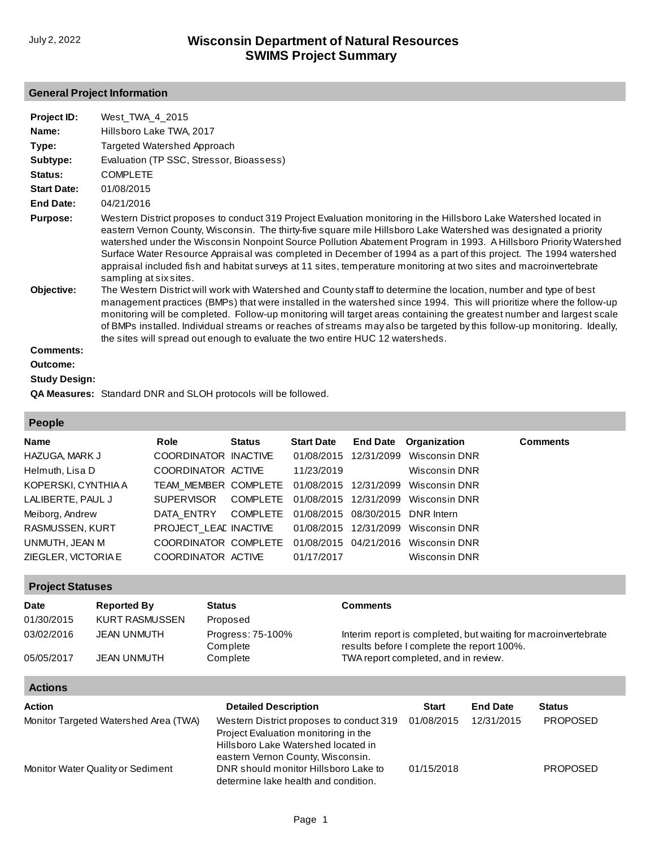## **General Project Information**

| Project ID:                   | West TWA 4 2015                                                                                                                                                                                                                                                                                                                                                                                                                                                                                                                                                                                                                                                                                                                                                                                                                                                                                                                                                                                                                                                                                                                  |
|-------------------------------|----------------------------------------------------------------------------------------------------------------------------------------------------------------------------------------------------------------------------------------------------------------------------------------------------------------------------------------------------------------------------------------------------------------------------------------------------------------------------------------------------------------------------------------------------------------------------------------------------------------------------------------------------------------------------------------------------------------------------------------------------------------------------------------------------------------------------------------------------------------------------------------------------------------------------------------------------------------------------------------------------------------------------------------------------------------------------------------------------------------------------------|
| Name:                         | Hillsboro Lake TWA, 2017                                                                                                                                                                                                                                                                                                                                                                                                                                                                                                                                                                                                                                                                                                                                                                                                                                                                                                                                                                                                                                                                                                         |
| Type:                         | Targeted Watershed Approach                                                                                                                                                                                                                                                                                                                                                                                                                                                                                                                                                                                                                                                                                                                                                                                                                                                                                                                                                                                                                                                                                                      |
| Subtype:                      | Evaluation (TP SSC, Stressor, Bioassess)                                                                                                                                                                                                                                                                                                                                                                                                                                                                                                                                                                                                                                                                                                                                                                                                                                                                                                                                                                                                                                                                                         |
| Status:                       | <b>COMPLETE</b>                                                                                                                                                                                                                                                                                                                                                                                                                                                                                                                                                                                                                                                                                                                                                                                                                                                                                                                                                                                                                                                                                                                  |
| <b>Start Date:</b>            | 01/08/2015                                                                                                                                                                                                                                                                                                                                                                                                                                                                                                                                                                                                                                                                                                                                                                                                                                                                                                                                                                                                                                                                                                                       |
| End Date:                     | 04/21/2016                                                                                                                                                                                                                                                                                                                                                                                                                                                                                                                                                                                                                                                                                                                                                                                                                                                                                                                                                                                                                                                                                                                       |
| <b>Purpose:</b><br>Objective: | Western District proposes to conduct 319 Project Evaluation monitoring in the Hillsboro Lake Watershed located in<br>eastern Vernon County, Wisconsin. The thirty-five square mile Hillsboro Lake Watershed was designated a priority<br>watershed under the Wisconsin Nonpoint Source Pollution Abatement Program in 1993. A Hillsboro Priority Watershed<br>Surface Water Resource Appraisal was completed in December of 1994 as a part of this project. The 1994 watershed<br>appraisal included fish and habitat surveys at 11 sites, temperature monitoring at two sites and macroinvertebrate<br>sampling at six sites.<br>The Western District will work with Watershed and County staff to determine the location, number and type of best<br>management practices (BMPs) that were installed in the watershed since 1994. This will prioritize where the follow-up<br>monitoring will be completed. Follow-up monitoring will target areas containing the greatest number and largest scale<br>of BMPs installed. Individual streams or reaches of streams may also be targeted by this follow-up monitoring. Ideally, |
| <b>Comments:</b>              | the sites will spread out enough to evaluate the two entire HUC 12 watersheds.                                                                                                                                                                                                                                                                                                                                                                                                                                                                                                                                                                                                                                                                                                                                                                                                                                                                                                                                                                                                                                                   |
| Outcome:                      |                                                                                                                                                                                                                                                                                                                                                                                                                                                                                                                                                                                                                                                                                                                                                                                                                                                                                                                                                                                                                                                                                                                                  |
| <b>Study Design:</b>          |                                                                                                                                                                                                                                                                                                                                                                                                                                                                                                                                                                                                                                                                                                                                                                                                                                                                                                                                                                                                                                                                                                                                  |
|                               | <b>QA Measures:</b> Standard DNR and SLOH protocols will be followed.                                                                                                                                                                                                                                                                                                                                                                                                                                                                                                                                                                                                                                                                                                                                                                                                                                                                                                                                                                                                                                                            |

### **People**

| <b>Name</b>         | Role                  | <b>Status</b> | <b>Start Date</b>                | <b>End Date</b> Organization                             | <b>Comments</b> |
|---------------------|-----------------------|---------------|----------------------------------|----------------------------------------------------------|-----------------|
| HAZUGA, MARK J      | COORDINATOR INACTIVE  |               | 01/08/2015 12/31/2099            | Wisconsin DNR                                            |                 |
| Helmuth, Lisa D     | COORDINATOR ACTIVE    |               | 11/23/2019                       | Wisconsin DNR                                            |                 |
| KOPERSKI, CYNTHIA A |                       |               |                                  | TEAM MEMBER COMPLETE 01/08/2015 12/31/2099 Wisconsin DNR |                 |
| LALIBERTE, PAUL J   | <b>SUPERVISOR</b>     |               |                                  | COMPLETE 01/08/2015 12/31/2099 Wisconsin DNR             |                 |
| Meiborg, Andrew     | DATA ENTRY            | COMPLETE      | 01/08/2015 08/30/2015 DNR Intern |                                                          |                 |
| RASMUSSEN, KURT     | PROJECT LEAL INACTIVE |               |                                  | 01/08/2015 12/31/2099 Wisconsin DNR                      |                 |
| UNMUTH, JEAN M      | COORDINATOR COMPLETE  |               |                                  | 01/08/2015 04/21/2016 Wisconsin DNR                      |                 |
| ZIEGLER, VICTORIA E | COORDINATOR ACTIVE    |               | 01/17/2017                       | Wisconsin DNR                                            |                 |

### **Project Statuses**

| <b>Date</b> | <b>Reported By</b> | <b>Status</b>                 | Comments                                                                                                     |
|-------------|--------------------|-------------------------------|--------------------------------------------------------------------------------------------------------------|
| 01/30/2015  | KURT RASMUSSEN     | Proposed                      |                                                                                                              |
| 03/02/2016  | JEAN UNMUTH        | Progress: 75-100%<br>Complete | Interim report is completed, but waiting for macroinvertebrate<br>results before I complete the report 100%. |
| 05/05/2017  | <b>JEAN UNMUTH</b> | Complete                      | TWA report completed, and in review.                                                                         |

### **Actions**

| <b>Action</b>                         | <b>Detailed Description</b>                                                                                             | <b>Start</b> | <b>End Date</b>               | <b>Status</b>   |
|---------------------------------------|-------------------------------------------------------------------------------------------------------------------------|--------------|-------------------------------|-----------------|
| Monitor Targeted Watershed Area (TWA) | Western District proposes to conduct 319<br>Project Evaluation monitoring in the<br>Hillsboro Lake Watershed located in | 01/08/2015   | <b>PROPOSED</b><br>12/31/2015 |                 |
| Monitor Water Quality or Sediment     | eastern Vernon County, Wisconsin.<br>DNR should monitor Hillsboro Lake to<br>determine lake health and condition.       | 01/15/2018   |                               | <b>PROPOSED</b> |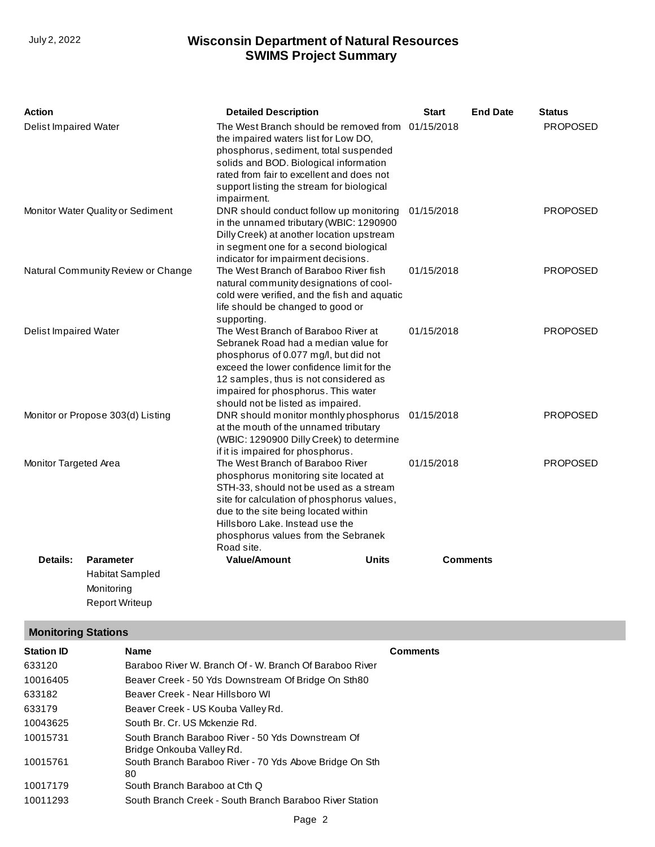| Action                            |                                    | <b>Detailed Description</b>                                                                                                                                                                                                                                                                       | <b>Start</b> | <b>End Date</b> | <b>Status</b>   |
|-----------------------------------|------------------------------------|---------------------------------------------------------------------------------------------------------------------------------------------------------------------------------------------------------------------------------------------------------------------------------------------------|--------------|-----------------|-----------------|
| Delist Impaired Water             |                                    | The West Branch should be removed from 01/15/2018<br>the impaired waters list for Low DO,<br>phosphorus, sediment, total suspended<br>solids and BOD. Biological information<br>rated from fair to excellent and does not<br>support listing the stream for biological<br>impairment.             |              |                 | <b>PROPOSED</b> |
|                                   | Monitor Water Quality or Sediment  | DNR should conduct follow up monitoring<br>in the unnamed tributary (WBIC: 1290900<br>Dilly Creek) at another location upstream<br>in segment one for a second biological<br>indicator for impairment decisions.                                                                                  | 01/15/2018   |                 | <b>PROPOSED</b> |
|                                   | Natural Community Review or Change | The West Branch of Baraboo River fish<br>natural community designations of cool-<br>cold were verified, and the fish and aquatic<br>life should be changed to good or<br>supporting.                                                                                                              | 01/15/2018   |                 | <b>PROPOSED</b> |
| <b>Delist Impaired Water</b>      |                                    | The West Branch of Baraboo River at<br>Sebranek Road had a median value for<br>phosphorus of 0.077 mg/l, but did not<br>exceed the lower confidence limit for the<br>12 samples, thus is not considered as<br>impaired for phosphorus. This water<br>should not be listed as impaired.            | 01/15/2018   |                 | <b>PROPOSED</b> |
| Monitor or Propose 303(d) Listing |                                    | DNR should monitor monthly phosphorus 01/15/2018<br>at the mouth of the unnamed tributary<br>(WBIC: 1290900 Dilly Creek) to determine<br>if it is impaired for phosphorus.                                                                                                                        |              |                 | <b>PROPOSED</b> |
| Monitor Targeted Area             |                                    | The West Branch of Baraboo River<br>phosphorus monitoring site located at<br>STH-33, should not be used as a stream<br>site for calculation of phosphorus values,<br>due to the site being located within<br>Hillsboro Lake. Instead use the<br>phosphorus values from the Sebranek<br>Road site. | 01/15/2018   |                 | <b>PROPOSED</b> |
| <b>Details:</b>                   | <b>Parameter</b>                   | <b>Units</b><br><b>Value/Amount</b>                                                                                                                                                                                                                                                               |              | <b>Comments</b> |                 |
|                                   | <b>Habitat Sampled</b>             |                                                                                                                                                                                                                                                                                                   |              |                 |                 |
|                                   | Monitorina                         |                                                                                                                                                                                                                                                                                                   |              |                 |                 |

## **Monitoring Stations**

Report Writeup

| <b>Station ID</b> | <b>Name</b>                                                                    | <b>Comments</b> |
|-------------------|--------------------------------------------------------------------------------|-----------------|
| 633120            | Baraboo River W. Branch Of - W. Branch Of Baraboo River                        |                 |
| 10016405          | Beaver Creek - 50 Yds Downstream Of Bridge On Sth80                            |                 |
| 633182            | Beaver Creek - Near Hillsboro WI                                               |                 |
| 633179            | Beaver Creek - US Kouba Valley Rd.                                             |                 |
| 10043625          | South Br. Cr. US Mckenzie Rd.                                                  |                 |
| 10015731          | South Branch Baraboo River - 50 Yds Downstream Of<br>Bridge Onkouba Valley Rd. |                 |
| 10015761          | South Branch Baraboo River - 70 Yds Above Bridge On Sth<br>80                  |                 |
| 10017179          | South Branch Baraboo at Cth Q                                                  |                 |
| 10011293          | South Branch Creek - South Branch Baraboo River Station                        |                 |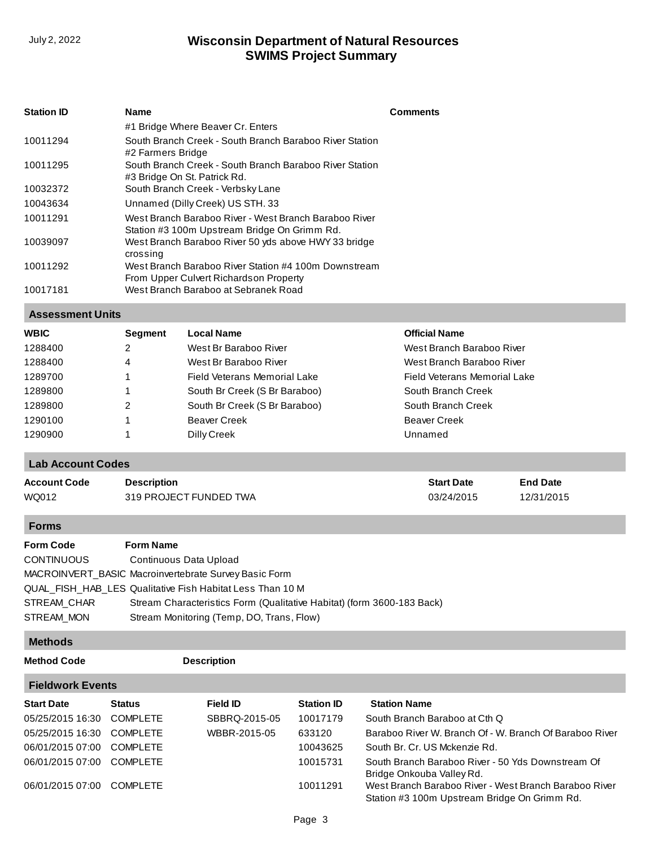| <b>Station ID</b> | <b>Name</b>                                                                                           | <b>Comments</b> |
|-------------------|-------------------------------------------------------------------------------------------------------|-----------------|
|                   | #1 Bridge Where Beaver Cr. Enters                                                                     |                 |
| 10011294          | South Branch Creek - South Branch Baraboo River Station<br>#2 Farmers Bridge                          |                 |
| 10011295          | South Branch Creek - South Branch Baraboo River Station<br>#3 Bridge On St. Patrick Rd.               |                 |
| 10032372          | South Branch Creek - Verbsky Lane                                                                     |                 |
| 10043634          | Unnamed (Dilly Creek) US STH. 33                                                                      |                 |
| 10011291          | West Branch Baraboo River - West Branch Baraboo River<br>Station #3 100m Upstream Bridge On Grimm Rd. |                 |
| 10039097          | West Branch Baraboo River 50 yds above HWY 33 bridge<br>crossing                                      |                 |
| 10011292          | West Branch Baraboo River Station #4 100m Downstream<br>From Upper Culvert Richardson Property        |                 |
| 10017181          | West Branch Baraboo at Sebranek Road                                                                  |                 |

#### **Assessment Units**

| WBIC    | <b>Segment</b> | <b>Local Name</b>             | <b>Official Name</b>         |  |
|---------|----------------|-------------------------------|------------------------------|--|
| 1288400 | 2              | West Br Baraboo River         | West Branch Baraboo River    |  |
| 1288400 | 4              | West Br Baraboo River         | West Branch Baraboo River    |  |
| 1289700 |                | Field Veterans Memorial Lake  | Field Veterans Memorial Lake |  |
| 1289800 |                | South Br Creek (S Br Baraboo) | South Branch Creek           |  |
| 1289800 | 2              | South Br Creek (S Br Baraboo) | South Branch Creek           |  |
| 1290100 |                | <b>Beaver Creek</b>           | <b>Beaver Creek</b>          |  |
| 1290900 |                | Dilly Creek                   | Unnamed                      |  |
|         |                |                               |                              |  |

## **Lab Account Codes**

| <b>Account Code</b> | <b>Description</b>     | <b>Start Date</b> | <b>End Date</b> |
|---------------------|------------------------|-------------------|-----------------|
| WQ012               | 319 PROJECT FUNDED TWA | 03/24/2015        | 12/31/2015      |

#### **Forms**

| <b>Form Code</b>  | <b>Form Name</b>                                                       |
|-------------------|------------------------------------------------------------------------|
| <b>CONTINUOUS</b> | Continuous Data Upload                                                 |
|                   | MACROINVERT BASIC Macroinvertebrate Survey Basic Form                  |
|                   | QUAL FISH HAB LES Qualitative Fish Habitat Less Than 10 M              |
| STREAM CHAR       | Stream Characteristics Form (Qualitative Habitat) (form 3600-183 Back) |
| STREAM MON        | Stream Monitoring (Temp, DO, Trans, Flow)                              |

#### **Methods**

**Method Code Description** 

÷

| <b>Fieldwork Events</b>   |                 |               |                   |                                                                                                       |  |  |  |
|---------------------------|-----------------|---------------|-------------------|-------------------------------------------------------------------------------------------------------|--|--|--|
| <b>Start Date</b>         | <b>Status</b>   | Field ID      | <b>Station ID</b> | <b>Station Name</b>                                                                                   |  |  |  |
| 05/25/2015 16:30          | <b>COMPLETE</b> | SBBRQ-2015-05 | 10017179          | South Branch Baraboo at Cth Q                                                                         |  |  |  |
| 05/25/2015 16:30 COMPLETE |                 | WBBR-2015-05  | 633120            | Baraboo River W. Branch Of - W. Branch Of Baraboo River                                               |  |  |  |
| 06/01/2015 07:00          | COMPLETE        |               | 10043625          | South Br. Cr. US Mckenzie Rd.                                                                         |  |  |  |
| 06/01/2015 07:00 COMPLETE |                 |               | 10015731          | South Branch Baraboo River - 50 Yds Downstream Of<br>Bridge Onkouba Valley Rd.                        |  |  |  |
| 06/01/2015 07:00 COMPLETE |                 |               | 10011291          | West Branch Baraboo River - West Branch Baraboo River<br>Station #3 100m Upstream Bridge On Grimm Rd. |  |  |  |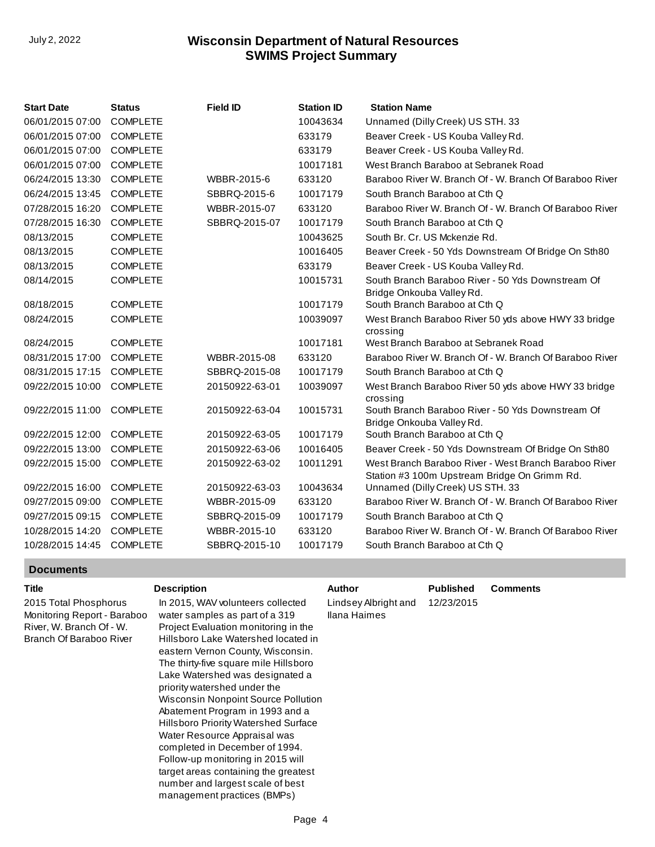| <b>Start Date</b> | <b>Status</b>   | <b>Field ID</b> | <b>Station ID</b> | <b>Station Name</b>                                                                                   |
|-------------------|-----------------|-----------------|-------------------|-------------------------------------------------------------------------------------------------------|
| 06/01/2015 07:00  | <b>COMPLETE</b> |                 | 10043634          | Unnamed (Dilly Creek) US STH. 33                                                                      |
| 06/01/2015 07:00  | <b>COMPLETE</b> |                 | 633179            | Beaver Creek - US Kouba Valley Rd.                                                                    |
| 06/01/2015 07:00  | <b>COMPLETE</b> |                 | 633179            | Beaver Creek - US Kouba Valley Rd.                                                                    |
| 06/01/2015 07:00  | <b>COMPLETE</b> |                 | 10017181          | West Branch Baraboo at Sebranek Road                                                                  |
| 06/24/2015 13:30  | <b>COMPLETE</b> | WBBR-2015-6     | 633120            | Baraboo River W. Branch Of - W. Branch Of Baraboo River                                               |
| 06/24/2015 13:45  | <b>COMPLETE</b> | SBBRQ-2015-6    | 10017179          | South Branch Baraboo at Cth Q                                                                         |
| 07/28/2015 16:20  | <b>COMPLETE</b> | WBBR-2015-07    | 633120            | Baraboo River W. Branch Of - W. Branch Of Baraboo River                                               |
| 07/28/2015 16:30  | <b>COMPLETE</b> | SBBRQ-2015-07   | 10017179          | South Branch Baraboo at Cth Q                                                                         |
| 08/13/2015        | <b>COMPLETE</b> |                 | 10043625          | South Br. Cr. US Mckenzie Rd.                                                                         |
| 08/13/2015        | <b>COMPLETE</b> |                 | 10016405          | Beaver Creek - 50 Yds Downstream Of Bridge On Sth80                                                   |
| 08/13/2015        | <b>COMPLETE</b> |                 | 633179            | Beaver Creek - US Kouba Valley Rd.                                                                    |
| 08/14/2015        | <b>COMPLETE</b> |                 | 10015731          | South Branch Baraboo River - 50 Yds Downstream Of<br>Bridge Onkouba Valley Rd.                        |
| 08/18/2015        | <b>COMPLETE</b> |                 | 10017179          | South Branch Baraboo at Cth Q                                                                         |
| 08/24/2015        | <b>COMPLETE</b> |                 | 10039097          | West Branch Baraboo River 50 yds above HWY 33 bridge<br>crossing                                      |
| 08/24/2015        | <b>COMPLETE</b> |                 | 10017181          | West Branch Baraboo at Sebranek Road                                                                  |
| 08/31/2015 17:00  | <b>COMPLETE</b> | WBBR-2015-08    | 633120            | Baraboo River W. Branch Of - W. Branch Of Baraboo River                                               |
| 08/31/2015 17:15  | <b>COMPLETE</b> | SBBRQ-2015-08   | 10017179          | South Branch Baraboo at Cth Q                                                                         |
| 09/22/2015 10:00  | <b>COMPLETE</b> | 20150922-63-01  | 10039097          | West Branch Baraboo River 50 yds above HWY 33 bridge<br>crossing                                      |
| 09/22/2015 11:00  | <b>COMPLETE</b> | 20150922-63-04  | 10015731          | South Branch Baraboo River - 50 Yds Downstream Of<br>Bridge Onkouba Valley Rd.                        |
| 09/22/2015 12:00  | <b>COMPLETE</b> | 20150922-63-05  | 10017179          | South Branch Baraboo at Cth Q                                                                         |
| 09/22/2015 13:00  | <b>COMPLETE</b> | 20150922-63-06  | 10016405          | Beaver Creek - 50 Yds Downstream Of Bridge On Sth80                                                   |
| 09/22/2015 15:00  | <b>COMPLETE</b> | 20150922-63-02  | 10011291          | West Branch Baraboo River - West Branch Baraboo River<br>Station #3 100m Upstream Bridge On Grimm Rd. |
| 09/22/2015 16:00  | <b>COMPLETE</b> | 20150922-63-03  | 10043634          | Unnamed (Dilly Creek) US STH. 33                                                                      |
| 09/27/2015 09:00  | <b>COMPLETE</b> | WBBR-2015-09    | 633120            | Baraboo River W. Branch Of - W. Branch Of Baraboo River                                               |
| 09/27/2015 09:15  | <b>COMPLETE</b> | SBBRQ-2015-09   | 10017179          | South Branch Baraboo at Cth Q                                                                         |
| 10/28/2015 14:20  | <b>COMPLETE</b> | WBBR-2015-10    | 633120            | Baraboo River W. Branch Of - W. Branch Of Baraboo River                                               |
| 10/28/2015 14:45  | <b>COMPLETE</b> | SBBRQ-2015-10   | 10017179          | South Branch Baraboo at Cth Q                                                                         |

#### **Documents**

| 12/23/2015 |  |
|------------|--|
|            |  |
|            |  |

management practices (BMPs)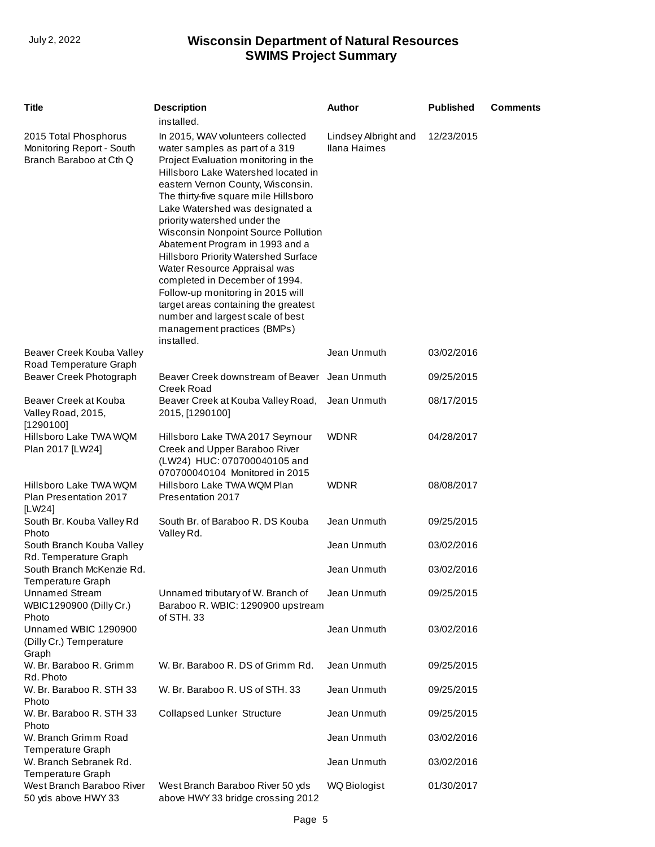| <b>Title</b>                                                                  | <b>Description</b>                                                                                                                                                                                                                                                                                                                                                                                                                                                                                                                                                                                                                                    | <b>Author</b>                        | <b>Published</b> | <b>Comments</b> |
|-------------------------------------------------------------------------------|-------------------------------------------------------------------------------------------------------------------------------------------------------------------------------------------------------------------------------------------------------------------------------------------------------------------------------------------------------------------------------------------------------------------------------------------------------------------------------------------------------------------------------------------------------------------------------------------------------------------------------------------------------|--------------------------------------|------------------|-----------------|
|                                                                               | installed.                                                                                                                                                                                                                                                                                                                                                                                                                                                                                                                                                                                                                                            |                                      |                  |                 |
| 2015 Total Phosphorus<br>Monitoring Report - South<br>Branch Baraboo at Cth Q | In 2015, WAV volunteers collected<br>water samples as part of a 319<br>Project Evaluation monitoring in the<br>Hillsboro Lake Watershed located in<br>eastern Vernon County, Wisconsin.<br>The thirty-five square mile Hillsboro<br>Lake Watershed was designated a<br>priority watershed under the<br>Wisconsin Nonpoint Source Pollution<br>Abatement Program in 1993 and a<br>Hillsboro Priority Watershed Surface<br>Water Resource Appraisal was<br>completed in December of 1994.<br>Follow-up monitoring in 2015 will<br>target areas containing the greatest<br>number and largest scale of best<br>management practices (BMPs)<br>installed. | Lindsey Albright and<br>Ilana Haimes | 12/23/2015       |                 |
| Beaver Creek Kouba Valley<br>Road Temperature Graph                           |                                                                                                                                                                                                                                                                                                                                                                                                                                                                                                                                                                                                                                                       | Jean Unmuth                          | 03/02/2016       |                 |
| Beaver Creek Photograph                                                       | Beaver Creek downstream of Beaver<br><b>Creek Road</b>                                                                                                                                                                                                                                                                                                                                                                                                                                                                                                                                                                                                | Jean Unmuth                          | 09/25/2015       |                 |
| Beaver Creek at Kouba<br>Valley Road, 2015,<br>[1290100]                      | Beaver Creek at Kouba Valley Road,<br>2015, [1290100]                                                                                                                                                                                                                                                                                                                                                                                                                                                                                                                                                                                                 | Jean Unmuth                          | 08/17/2015       |                 |
| Hillsboro Lake TWA WQM<br>Plan 2017 [LW24]                                    | Hillsboro Lake TWA 2017 Seymour<br>Creek and Upper Baraboo River<br>(LW24) HUC: 070700040105 and<br>070700040104 Monitored in 2015                                                                                                                                                                                                                                                                                                                                                                                                                                                                                                                    | <b>WDNR</b>                          | 04/28/2017       |                 |
| Hillsboro Lake TWA WQM<br>Plan Presentation 2017<br>[LW24]                    | Hillsboro Lake TWA WQM Plan<br>Presentation 2017                                                                                                                                                                                                                                                                                                                                                                                                                                                                                                                                                                                                      | <b>WDNR</b>                          | 08/08/2017       |                 |
| South Br. Kouba Valley Rd<br>Photo                                            | South Br. of Baraboo R. DS Kouba<br>Valley Rd.                                                                                                                                                                                                                                                                                                                                                                                                                                                                                                                                                                                                        | Jean Unmuth                          | 09/25/2015       |                 |
| South Branch Kouba Valley<br>Rd. Temperature Graph                            |                                                                                                                                                                                                                                                                                                                                                                                                                                                                                                                                                                                                                                                       | Jean Unmuth                          | 03/02/2016       |                 |
| South Branch McKenzie Rd.<br>Temperature Graph                                |                                                                                                                                                                                                                                                                                                                                                                                                                                                                                                                                                                                                                                                       | Jean Unmuth                          | 03/02/2016       |                 |
| <b>Unnamed Stream</b><br>WBIC1290900 (Dilly Cr.)<br>Photo                     | Unnamed tributary of W. Branch of<br>Baraboo R. WBIC: 1290900 upstream<br>of STH. 33                                                                                                                                                                                                                                                                                                                                                                                                                                                                                                                                                                  | Jean Unmuth                          | 09/25/2015       |                 |
| Unnamed WBIC 1290900<br>(Dilly Cr.) Temperature<br>Graph                      |                                                                                                                                                                                                                                                                                                                                                                                                                                                                                                                                                                                                                                                       | Jean Unmuth                          | 03/02/2016       |                 |
| W. Br. Baraboo R. Grimm<br>Rd. Photo                                          | W. Br. Baraboo R. DS of Grimm Rd.                                                                                                                                                                                                                                                                                                                                                                                                                                                                                                                                                                                                                     | Jean Unmuth                          | 09/25/2015       |                 |
| W. Br. Baraboo R. STH 33<br>Photo                                             | W. Br. Baraboo R. US of STH. 33                                                                                                                                                                                                                                                                                                                                                                                                                                                                                                                                                                                                                       | Jean Unmuth                          | 09/25/2015       |                 |
| W. Br. Baraboo R. STH 33<br>Photo                                             | <b>Collapsed Lunker Structure</b>                                                                                                                                                                                                                                                                                                                                                                                                                                                                                                                                                                                                                     | Jean Unmuth                          | 09/25/2015       |                 |
| W. Branch Grimm Road<br><b>Temperature Graph</b>                              |                                                                                                                                                                                                                                                                                                                                                                                                                                                                                                                                                                                                                                                       | Jean Unmuth                          | 03/02/2016       |                 |
| W. Branch Sebranek Rd.<br>Temperature Graph                                   |                                                                                                                                                                                                                                                                                                                                                                                                                                                                                                                                                                                                                                                       | Jean Unmuth                          | 03/02/2016       |                 |
| West Branch Baraboo River<br>50 yds above HWY 33                              | West Branch Baraboo River 50 yds<br>above HWY 33 bridge crossing 2012                                                                                                                                                                                                                                                                                                                                                                                                                                                                                                                                                                                 | <b>WQ Biologist</b>                  | 01/30/2017       |                 |